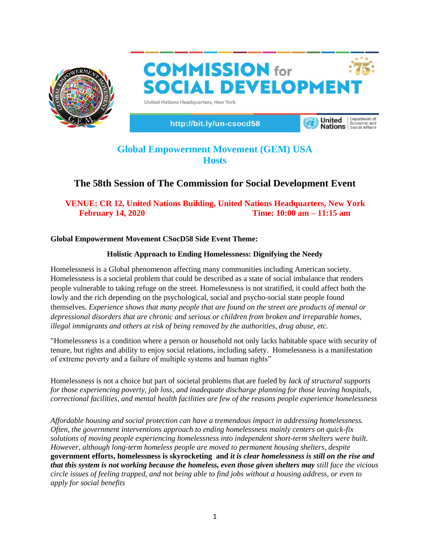

**COMMISSION** for **SOCIAL DEVELOPMEN** United Nations Headquarters, New York

http://bit.ly/un-csocd58

Department of **United Nations** Economic and

# **Global Empowerment Movement (GEM) USA Hosts**

## **The 58th Session of The Commission for Social Development Event**

## **VENUE: CR 12, United Nations Building, United Nations Headquarters, New York February 14, 2020 Time: 10:00 am – 11:15 am**

## **Global Empowerment Movement CSocD58 Side Event Theme:**

## **Holistic Approach to Ending Homelessness: Dignifying the Needy**

Homelessness is a Global phenomenon affecting many communities including American society. Homelessness is a societal problem that could be described as a state of social imbalance that renders people vulnerable to taking refuge on the street. Homelessness is not stratified, it could affect both the lowly and the rich depending on the psychological, social and psycho-social state people found themselves. *Experience shows that many people that are found on the street are products of mental or depressional disorders that are chronic and serious or children from broken and irreparable homes, illegal immigrants and others at risk of being removed by the authorities, drug abuse, etc.* 

"Homelessness is a condition where a person or household not only lacks habitable space with security of tenure, but rights and ability to enjoy social relations, including safety. Homelessness is a manifestation of extreme poverty and a failure of multiple systems and human rights"

Homelessness is not a choice but part of societal problems that are fueled by *lack of structural supports for those experiencing poverty, job loss, and inadequate discharge planning for those leaving hospitals, correctional facilities, and mental health facilities are few of the reasons people experience homelessness*

*Affordable housing and social protection can have a tremendous impact in addressing homelessness. Often, the government interventions approach to ending homelessness mainly centers on quick-fix solutions of moving people experiencing homelessness into independent short-term shelters were built. However, although long-term homeless people are moved to permanent housing shelters, despite* **government efforts, homelessness is skyrocketing and** *it is clear homelessness is still on the rise and that this system is not working because the homeless, even those given shelters may still face the vicious circle issues of feeling trapped, and not being able to find jobs without a housing address, or even to apply for social benefits*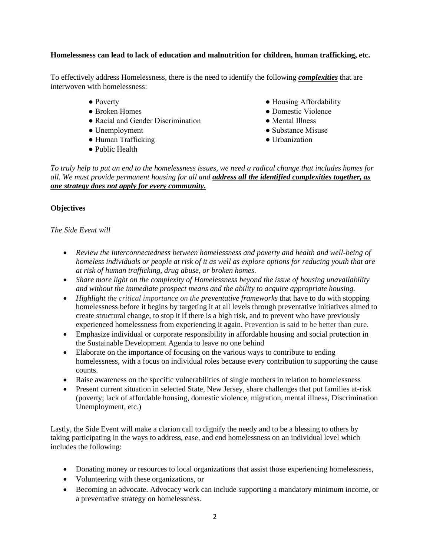#### **Homelessness can lead to lack of education and malnutrition for children, human trafficking, etc.**

To effectively address Homelessness, there is the need to identify the following *complexities* that are interwoven with homelessness:

- Poverty
- Broken Homes
- Racial and Gender Discrimination
- Unemployment
- Human Trafficking
- Public Health
- Housing Affordability
- Domestic Violence
- Mental Illness
- Substance Misuse
- Urbanization

*To truly help to put an end to the homelessness issues, we need a radical change that includes homes for all. We must provide permanent housing for all and address all the identified complexities together, as one strategy does not apply for every community.* 

#### **Objectives**

#### *The Side Event will*

- *Review the interconnectedness between homelessness and poverty and health and well-being of homeless individuals or people at risk of it as well as explore options for reducing youth that are at risk of human trafficking, drug abuse, or broken homes.*
- *Share more light on the complexity of Homelessness beyond the issue of housing unavailability and without the immediate prospect means and the ability to acquire appropriate housing.*
- *Highlight the critical importance on the preventative frameworks* that have to do with stopping homelessness before it begins by targeting it at all levels through preventative initiatives aimed to create structural change, to stop it if there is a high risk, and to prevent who have previously experienced homelessness from experiencing it again. Prevention is said to be better than cure.
- Emphasize individual or corporate responsibility in affordable housing and social protection in the Sustainable Development Agenda to leave no one behind
- Elaborate on the importance of focusing on the various ways to contribute to ending homelessness, with a focus on individual roles because every contribution to supporting the cause counts.
- Raise awareness on the specific vulnerabilities of single mothers in relation to homelessness
- Present current situation in selected State, New Jersey, share challenges that put families at-risk (poverty; lack of affordable housing, domestic violence, migration, mental illness, Discrimination Unemployment, etc.)

Lastly, the Side Event will make a clarion call to dignify the needy and to be a blessing to others by taking participating in the ways to address, ease, and end homelessness on an individual level which includes the following:

- Donating money or resources to local organizations that assist those experiencing homelessness,
- Volunteering with these organizations, or
- Becoming an advocate. Advocacy work can include supporting a mandatory minimum income, or a preventative strategy on homelessness.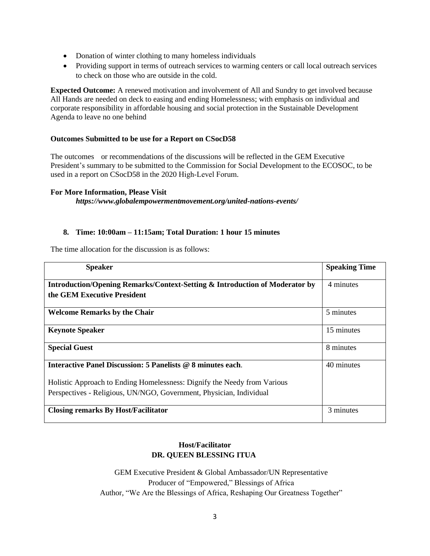- Donation of winter clothing to many homeless individuals
- Providing support in terms of outreach services to warming centers or call local outreach services to check on those who are outside in the cold.

**Expected Outcome:** A renewed motivation and involvement of All and Sundry to get involved because All Hands are needed on deck to easing and ending Homelessness; with emphasis on individual and corporate responsibility in affordable housing and social protection in the Sustainable Development Agenda to leave no one behind

#### **Outcomes Submitted to be use for a Report on CSocD58**

The outcomes or recommendations of the discussions will be reflected in the GEM Executive President's summary to be submitted to the Commission for Social Development to the ECOSOC, to be used in a report on CSocD58 in the 2020 High‐Level Forum.

#### **For More Information, Please Visit**

*https://www.globalempowermentmovement.org/united-nations-events/*

#### **8. Time: 10:00am – 11:15am; Total Duration: 1 hour 15 minutes**

The time allocation for the discussion is as follows:

| <b>Speaker</b>                                                                                                                                  | <b>Speaking Time</b> |
|-------------------------------------------------------------------------------------------------------------------------------------------------|----------------------|
| <b>Introduction/Opening Remarks/Context-Setting &amp; Introduction of Moderator by</b><br>the GEM Executive President                           | 4 minutes            |
| <b>Welcome Remarks by the Chair</b>                                                                                                             | 5 minutes            |
| <b>Keynote Speaker</b>                                                                                                                          | 15 minutes           |
| <b>Special Guest</b>                                                                                                                            | 8 minutes            |
| Interactive Panel Discussion: 5 Panelists @ 8 minutes each.                                                                                     | 40 minutes           |
| Holistic Approach to Ending Homelessness: Dignify the Needy from Various<br>Perspectives - Religious, UN/NGO, Government, Physician, Individual |                      |
| <b>Closing remarks By Host/Facilitator</b>                                                                                                      | 3 minutes            |

### **Host/Facilitator DR. QUEEN BLESSING ITUA**

GEM Executive President & Global Ambassador/UN Representative Producer of "Empowered," Blessings of Africa Author, "We Are the Blessings of Africa, Reshaping Our Greatness Together"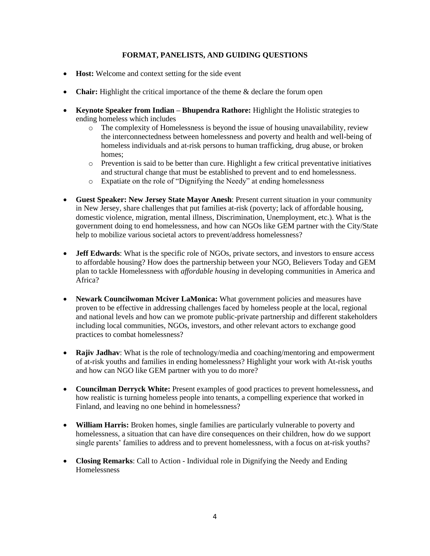#### **FORMAT, PANELISTS, AND GUIDING QUESTIONS**

- **Host:** Welcome and context setting for the side event
- **Chair:** Highlight the critical importance of the theme & declare the forum open
- **Keynote Speaker from Indian – Bhupendra Rathore:** Highlight the Holistic strategies to ending homeless which includes
	- $\circ$  The complexity of Homelessness is beyond the issue of housing unavailability, review the interconnectedness between homelessness and poverty and health and well-being of homeless individuals and at-risk persons to human trafficking, drug abuse, or broken homes;
	- $\circ$  Prevention is said to be better than cure. Highlight a few critical preventative initiatives and structural change that must be established to prevent and to end homelessness.
	- o Expatiate on the role of "Dignifying the Needy" at ending homelessness
- **Guest Speaker: New Jersey State Mayor Anesh**: Present current situation in your community in New Jersey, share challenges that put families at-risk (poverty; lack of affordable housing, domestic violence, migration, mental illness, Discrimination, Unemployment, etc.). What is the government doing to end homelessness, and how can NGOs like GEM partner with the City/State help to mobilize various societal actors to prevent/address homelessness?
- **Jeff Edwards**: What is the specific role of NGOs, private sectors, and investors to ensure access to affordable housing? How does the partnership between your NGO, Believers Today and GEM plan to tackle Homelessness with *affordable housing* in developing communities in America and Africa?
- **Newark Councilwoman Mciver LaMonica:** What government policies and measures have proven to be effective in addressing challenges faced by homeless people at the local, regional and national levels and how can we promote public-private partnership and different stakeholders including local communities, NGOs, investors, and other relevant actors to exchange good practices to combat homelessness?
- **Rajiv Jadhav**: What is the role of technology/media and coaching/mentoring and empowerment of at-risk youths and families in ending homelessness? Highlight your work with At-risk youths and how can NGO like GEM partner with you to do more?
- **Councilman Derryck White:** Present examples of good practices to prevent homelessness**,** and how realistic is turning homeless people into tenants, a compelling experience that worked in Finland, and leaving no one behind in homelessness?
- **William Harris:** Broken homes, single families are particularly vulnerable to poverty and homelessness, a situation that can have dire consequences on their children, how do we support single parents' families to address and to prevent homelessness, with a focus on at-risk youths?
- **Closing Remarks:** Call to Action Individual role in Dignifying the Needy and Ending Homelessness